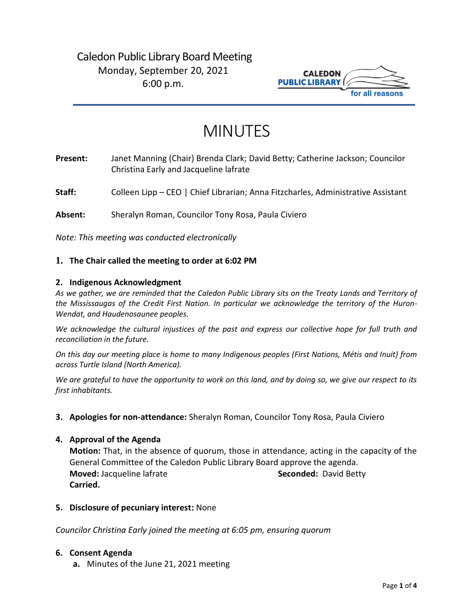# Caledon Public Library Board Meeting Monday, September 20, 2021 6:00 p.m.



# MINUTES

**Present:** Janet Manning (Chair) Brenda Clark; David Betty; Catherine Jackson; Councilor Christina Early and Jacqueline lafrate

**Staff:** Colleen Lipp – CEO | Chief Librarian; Anna Fitzcharles, Administrative Assistant

**Absent:** Sheralyn Roman, Councilor Tony Rosa, Paula Civiero

*Note: This meeting was conducted electronically*

# **1. The Chair called the meeting to order at 6:02 PM**

#### **2. Indigenous Acknowledgment**

*As we gather, we are reminded that the Caledon Public Library sits on the Treaty Lands and Territory of the Mississaugas of the Credit First Nation. In particular we acknowledge the territory of the Huron-Wendat, and Haudenosaunee peoples.*

*We acknowledge the cultural injustices of the past and express our collective hope for full truth and reconciliation in the future.*

*On this day our meeting place is home to many Indigenous peoples (First Nations, Métis and Inuit) from across Turtle Island (North America).*

*We are grateful to have the opportunity to work on this land, and by doing so, we give our respect to its first inhabitants.*

**3. Apologies for non-attendance:** Sheralyn Roman, Councilor Tony Rosa, Paula Civiero

#### **4. Approval of the Agenda**

**Motion:** That, in the absence of quorum, those in attendance, acting in the capacity of the General Committee of the Caledon Public Library Board approve the agenda. **Moved:** Jacqueline lafrate **Seconded:** David Betty **Carried.**

**5. Disclosure of pecuniary interest:** None

*Councilor Christina Early joined the meeting at 6:05 pm, ensuring quorum*

#### **6. Consent Agenda**

**a.** Minutes of the June 21, 2021 meeting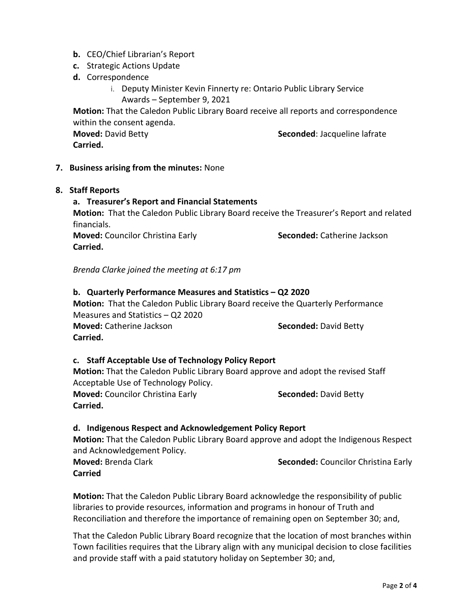- **b.** CEO/Chief Librarian's Report
- **c.** Strategic Actions Update
- **d.** Correspondence
	- i. Deputy Minister Kevin Finnerty re: Ontario Public Library Service Awards – September 9, 2021

**Motion:** That the Caledon Public Library Board receive all reports and correspondence within the consent agenda.

**Moved:** David Betty **Seconded:** Jacqueline lafrate

**Carried.** 

# **7. Business arising from the minutes:** None

# **8. Staff Reports**

# **a. Treasurer's Report and Financial Statements**

**Motion:** That the Caledon Public Library Board receive the Treasurer's Report and related financials.

**Moved:** Councilor Christina Early **Seconded:** Catherine Jackson **Carried.**

*Brenda Clarke joined the meeting at 6:17 pm*

# **b. Quarterly Performance Measures and Statistics – Q2 2020**

**Motion:** That the Caledon Public Library Board receive the Quarterly Performance Measures and Statistics – Q2 2020 **Moved:** Catherine Jackson **Seconded:** David Betty **Carried.** 

# **c. Staff Acceptable Use of Technology Policy Report**

**Motion:** That the Caledon Public Library Board approve and adopt the revised Staff Acceptable Use of Technology Policy.

**Moved:** Councilor Christina Early **Seconded:** David Betty **Carried.**

#### **d. Indigenous Respect and Acknowledgement Policy Report**

**Motion:** That the Caledon Public Library Board approve and adopt the Indigenous Respect and Acknowledgement Policy.

**Moved:** Brenda Clark **Seconded:** Councilor Christina Early **Carried**

**Motion:** That the Caledon Public Library Board acknowledge the responsibility of public libraries to provide resources, information and programs in honour of Truth and Reconciliation and therefore the importance of remaining open on September 30; and,

That the Caledon Public Library Board recognize that the location of most branches within Town facilities requires that the Library align with any municipal decision to close facilities and provide staff with a paid statutory holiday on September 30; and,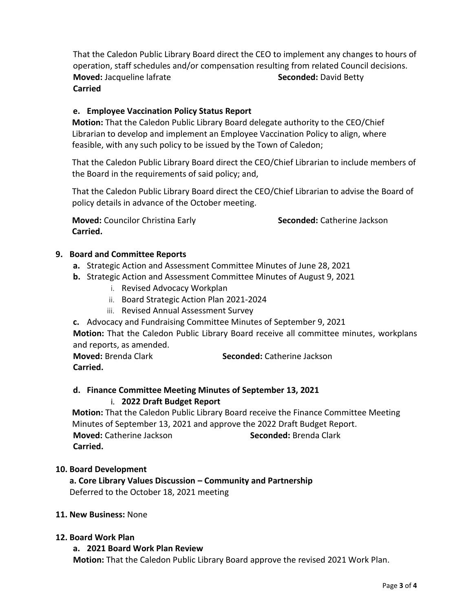That the Caledon Public Library Board direct the CEO to implement any changes to hours of operation, staff schedules and/or compensation resulting from related Council decisions. **Moved:** Jacqueline lafrate **Seconded: David Betty Seconded: David Betty Carried**

# **e. Employee Vaccination Policy Status Report**

**Motion:** That the Caledon Public Library Board delegate authority to the CEO/Chief Librarian to develop and implement an Employee Vaccination Policy to align, where feasible, with any such policy to be issued by the Town of Caledon;

That the Caledon Public Library Board direct the CEO/Chief Librarian to include members of the Board in the requirements of said policy; and,

That the Caledon Public Library Board direct the CEO/Chief Librarian to advise the Board of policy details in advance of the October meeting.

**Moved:** Councilor Christina Early **Seconded:** Catherine Jackson **Carried.** 

# **9. Board and Committee Reports**

- **a.** Strategic Action and Assessment Committee Minutes of June 28, 2021
- **b.** Strategic Action and Assessment Committee Minutes of August 9, 2021
	- i. Revised Advocacy Workplan
	- ii. Board Strategic Action Plan 2021-2024
	- iii. Revised Annual Assessment Survey
- **c.** Advocacy and Fundraising Committee Minutes of September 9, 2021

**Motion:** That the Caledon Public Library Board receive all committee minutes, workplans and reports, as amended.

**Moved:** Brenda Clark **Seconded:** Catherine Jackson **Carried.** 

# **d. Finance Committee Meeting Minutes of September 13, 2021**

# i. **2022 Draft Budget Report**

**Motion:** That the Caledon Public Library Board receive the Finance Committee Meeting Minutes of September 13, 2021 and approve the 2022 Draft Budget Report. **Moved:** Catherine Jackson **Seconded:** Brenda Clark **Carried.** 

#### **10. Board Development**

**a. Core Library Values Discussion – Community and Partnership** Deferred to the October 18, 2021 meeting

# **11. New Business:** None

# **12. Board Work Plan**

#### **a. 2021 Board Work Plan Review**

**Motion:** That the Caledon Public Library Board approve the revised 2021 Work Plan.